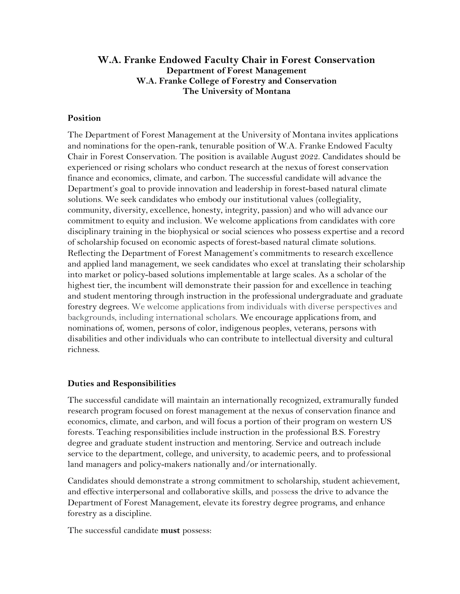## **W.A. Franke Endowed Faculty Chair in Forest Conservation Department of Forest Management W.A. Franke College of Forestry and Conservation The University of Montana**

### **Position**

The Department of Forest Management at the University of Montana invites applications and nominations for the open-rank, tenurable position of W.A. Franke Endowed Faculty Chair in Forest Conservation. The position is available August 2022. Candidates should be experienced or rising scholars who conduct research at the nexus of forest conservation finance and economics, climate, and carbon. The successful candidate will advance the Department's goal to provide innovation and leadership in forest-based natural climate solutions. We seek candidates who embody our institutional values (collegiality, community, diversity, excellence, honesty, integrity, passion) and who will advance our commitment to equity and inclusion. We welcome applications from candidates with core disciplinary training in the biophysical or social sciences who possess expertise and a record of scholarship focused on economic aspects of forest-based natural climate solutions. Reflecting the Department of Forest Management's commitments to research excellence and applied land management, we seek candidates who excel at translating their scholarship into market or policy-based solutions implementable at large scales. As a scholar of the highest tier, the incumbent will demonstrate their passion for and excellence in teaching and student mentoring through instruction in the professional undergraduate and graduate forestry degrees. We welcome applications from individuals with diverse perspectives and backgrounds, including international scholars. We encourage applications from, and nominations of, women, persons of color, indigenous peoples, veterans, persons with disabilities and other individuals who can contribute to intellectual diversity and cultural richness.

#### **Duties and Responsibilities**

The successful candidate will maintain an internationally recognized, extramurally funded research program focused on forest management at the nexus of conservation finance and economics, climate, and carbon, and will focus a portion of their program on western US forests. Teaching responsibilities include instruction in the professional B.S. Forestry degree and graduate student instruction and mentoring. Service and outreach include service to the department, college, and university, to academic peers, and to professional land managers and policy-makers nationally and/or internationally.

Candidates should demonstrate a strong commitment to scholarship, student achievement, and effective interpersonal and collaborative skills, and possess the drive to advance the Department of Forest Management, elevate its forestry degree programs, and enhance forestry as a discipline.

The successful candidate **must** possess: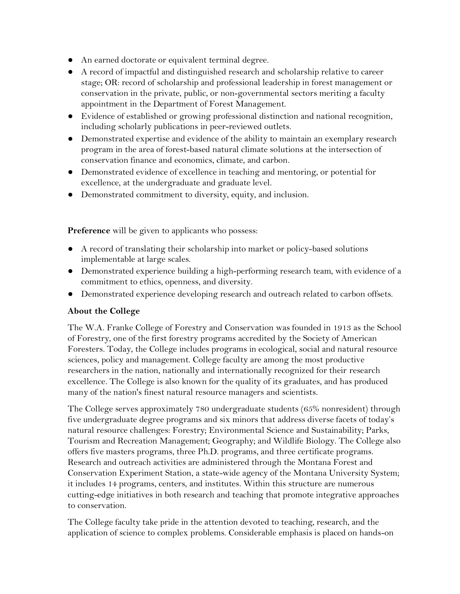- An earned doctorate or equivalent terminal degree.
- A record of impactful and distinguished research and scholarship relative to career stage; OR: record of scholarship and professional leadership in forest management or conservation in the private, public, or non-governmental sectors meriting a faculty appointment in the Department of Forest Management.
- Evidence of established or growing professional distinction and national recognition, including scholarly publications in peer-reviewed outlets.
- Demonstrated expertise and evidence of the ability to maintain an exemplary research program in the area of forest-based natural climate solutions at the intersection of conservation finance and economics, climate, and carbon.
- Demonstrated evidence of excellence in teaching and mentoring, or potential for excellence, at the undergraduate and graduate level.
- Demonstrated commitment to diversity, equity, and inclusion.

**Preference** will be given to applicants who possess:

- A record of translating their scholarship into market or policy-based solutions implementable at large scales.
- Demonstrated experience building a high-performing research team, with evidence of a commitment to ethics, openness, and diversity.
- Demonstrated experience developing research and outreach related to carbon offsets.

## **About the College**

The W.A. Franke College of Forestry and Conservation was founded in 1913 as the School of Forestry, one of the first forestry programs accredited by the Society of American Foresters. Today, the College includes programs in ecological, social and natural resource sciences, policy and management. College faculty are among the most productive researchers in the nation, nationally and internationally recognized for their research excellence. The College is also known for the quality of its graduates, and has produced many of the nation's finest natural resource managers and scientists.

The College serves approximately 780 undergraduate students (65% nonresident) through five undergraduate degree programs and six minors that address diverse facets of today's natural resource challenges: Forestry; Environmental Science and Sustainability; Parks, Tourism and Recreation Management; Geography; and Wildlife Biology. The College also offers five masters programs, three Ph.D. programs, and three certificate programs. Research and outreach activities are administered through the Montana Forest and Conservation Experiment Station, a state-wide agency of the Montana University System; it includes 14 programs, centers, and institutes. Within this structure are numerous cutting-edge initiatives in both research and teaching that promote integrative approaches to conservation.

The College faculty take pride in the attention devoted to teaching, research, and the application of science to complex problems. Considerable emphasis is placed on hands-on